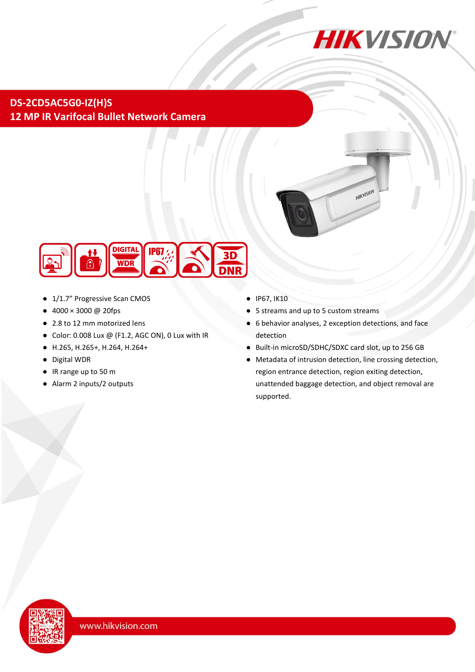

HIKVISION

**DS-2CD5AC5G0-IZ(H)S 12 MP IR Varifocal Bullet Network Camera**



- 1/1.7" Progressive Scan CMOS
- $4000 \times 3000 \text{ @ } 20 \text{fps}$
- 2.8 to 12 mm motorized lens
- $\bullet$  Color: 0.008 Lux @ (F1.2, AGC ON), 0 Lux with IR
- H.265, H.265+, H.264, H.264+
- Digital WDR
- IR range up to 50 m
- Alarm 2 inputs/2 outputs
- IP67, IK10
- 5 streams and up to 5 custom streams
- 6 behavior analyses, 2 exception detections, and face detection
- Built-in microSD/SDHC/SDXC card slot, up to 256 GB
- Metadata of intrusion detection, line crossing detection, region entrance detection, region exiting detection, unattended baggage detection, and object removal are supported.

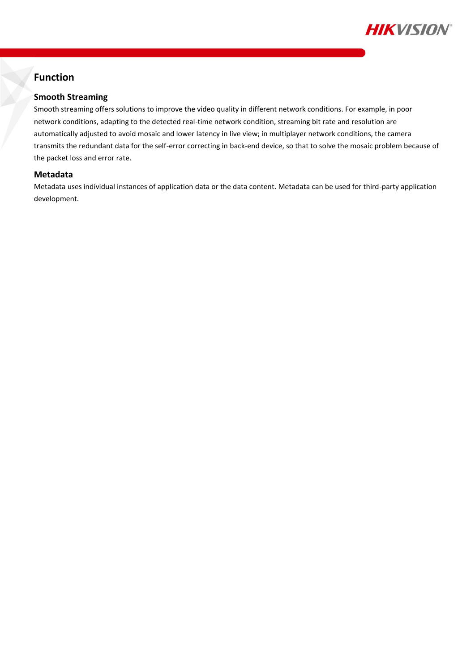

# **Function**

#### **Smooth Streaming**

Smooth streaming offers solutions to improve the video quality in different network conditions. For example, in poor network conditions, adapting to the detected real-time network condition, streaming bit rate and resolution are automatically adjusted to avoid mosaic and lower latency in live view; in multiplayer network conditions, the camera transmits the redundant data for the self-error correcting in back-end device, so that to solve the mosaic problem because of the packet loss and error rate.

#### **Metadata**

Metadata uses individual instances of application data or the data content. Metadata can be used for third-party application development.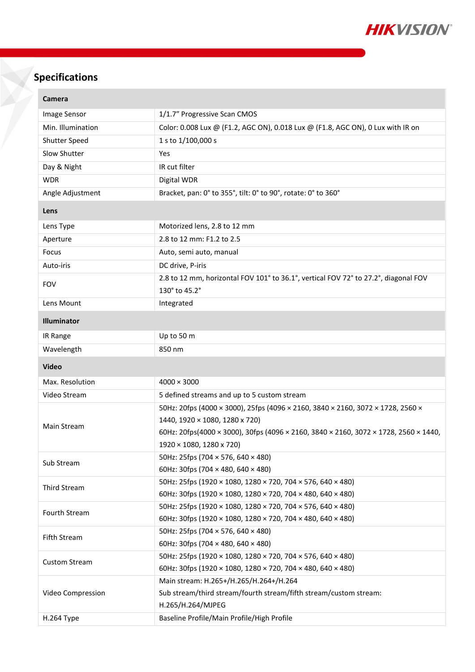

# **Specifications**

| <b>Camera</b>        |                                                                                                                                                                                                                                       |  |
|----------------------|---------------------------------------------------------------------------------------------------------------------------------------------------------------------------------------------------------------------------------------|--|
| Image Sensor         | 1/1.7" Progressive Scan CMOS                                                                                                                                                                                                          |  |
| Min. Illumination    | Color: 0.008 Lux @ (F1.2, AGC ON), 0.018 Lux @ (F1.8, AGC ON), 0 Lux with IR on                                                                                                                                                       |  |
| <b>Shutter Speed</b> | 1 s to 1/100,000 s                                                                                                                                                                                                                    |  |
| Slow Shutter         | Yes                                                                                                                                                                                                                                   |  |
| Day & Night          | IR cut filter                                                                                                                                                                                                                         |  |
| <b>WDR</b>           | Digital WDR                                                                                                                                                                                                                           |  |
| Angle Adjustment     | Bracket, pan: 0° to 355°, tilt: 0° to 90°, rotate: 0° to 360°                                                                                                                                                                         |  |
| Lens                 |                                                                                                                                                                                                                                       |  |
| Lens Type            | Motorized lens, 2.8 to 12 mm                                                                                                                                                                                                          |  |
| Aperture             | 2.8 to 12 mm: F1.2 to 2.5                                                                                                                                                                                                             |  |
| Focus                | Auto, semi auto, manual                                                                                                                                                                                                               |  |
| Auto-iris            | DC drive, P-iris                                                                                                                                                                                                                      |  |
| <b>FOV</b>           | 2.8 to 12 mm, horizontal FOV 101° to 36.1°, vertical FOV 72° to 27.2°, diagonal FOV<br>130° to 45.2°                                                                                                                                  |  |
| Lens Mount           | Integrated                                                                                                                                                                                                                            |  |
|                      |                                                                                                                                                                                                                                       |  |
| Illuminator          |                                                                                                                                                                                                                                       |  |
| IR Range             | Up to 50 m                                                                                                                                                                                                                            |  |
| Wavelength           | 850 nm                                                                                                                                                                                                                                |  |
| <b>Video</b>         |                                                                                                                                                                                                                                       |  |
| Max. Resolution      | $4000 \times 3000$                                                                                                                                                                                                                    |  |
| Video Stream         | 5 defined streams and up to 5 custom stream                                                                                                                                                                                           |  |
| Main Stream          | 50Hz: 20fps (4000 × 3000), 25fps (4096 × 2160, 3840 × 2160, 3072 × 1728, 2560 ×<br>1440, 1920 × 1080, 1280 x 720)<br>60Hz: 20fps(4000 × 3000), 30fps (4096 × 2160, 3840 × 2160, 3072 × 1728, 2560 × 1440,<br>1920 × 1080, 1280 x 720) |  |
| Sub Stream           | 50Hz: 25fps (704 × 576, 640 × 480)<br>60Hz: 30fps (704 $\times$ 480, 640 $\times$ 480)                                                                                                                                                |  |
| Third Stream         | 50Hz: 25fps (1920 × 1080, 1280 × 720, 704 × 576, 640 × 480)<br>60Hz: 30fps (1920 × 1080, 1280 × 720, 704 × 480, 640 × 480)                                                                                                            |  |
| Fourth Stream        | 50Hz: 25fps (1920 × 1080, 1280 × 720, 704 × 576, 640 × 480)<br>60Hz: 30fps (1920 × 1080, 1280 × 720, 704 × 480, 640 × 480)                                                                                                            |  |
| <b>Fifth Stream</b>  | 50Hz: 25fps (704 × 576, 640 × 480)<br>60Hz: 30fps (704 $\times$ 480, 640 $\times$ 480)                                                                                                                                                |  |
| <b>Custom Stream</b> | 50Hz: 25fps (1920 × 1080, 1280 × 720, 704 × 576, 640 × 480)<br>60Hz: 30fps (1920 × 1080, 1280 × 720, 704 × 480, 640 × 480)                                                                                                            |  |
| Video Compression    | Main stream: H.265+/H.265/H.264+/H.264<br>Sub stream/third stream/fourth stream/fifth stream/custom stream:<br>H.265/H.264/MJPEG                                                                                                      |  |
| H.264 Type           | Baseline Profile/Main Profile/High Profile                                                                                                                                                                                            |  |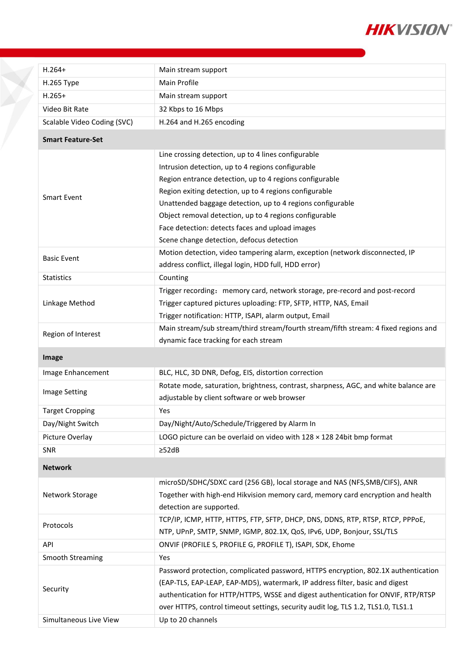

| $H.264+$                    | Main stream support                                                                  |  |  |
|-----------------------------|--------------------------------------------------------------------------------------|--|--|
| H.265 Type                  | Main Profile                                                                         |  |  |
| $H.265+$                    | Main stream support                                                                  |  |  |
| Video Bit Rate              | 32 Kbps to 16 Mbps                                                                   |  |  |
| Scalable Video Coding (SVC) | H.264 and H.265 encoding                                                             |  |  |
| <b>Smart Feature-Set</b>    |                                                                                      |  |  |
| <b>Smart Event</b>          | Line crossing detection, up to 4 lines configurable                                  |  |  |
|                             | Intrusion detection, up to 4 regions configurable                                    |  |  |
|                             | Region entrance detection, up to 4 regions configurable                              |  |  |
|                             | Region exiting detection, up to 4 regions configurable                               |  |  |
|                             | Unattended baggage detection, up to 4 regions configurable                           |  |  |
|                             | Object removal detection, up to 4 regions configurable                               |  |  |
|                             | Face detection: detects faces and upload images                                      |  |  |
|                             | Scene change detection, defocus detection                                            |  |  |
| <b>Basic Event</b>          | Motion detection, video tampering alarm, exception (network disconnected, IP         |  |  |
|                             | address conflict, illegal login, HDD full, HDD error)                                |  |  |
| <b>Statistics</b>           | Counting                                                                             |  |  |
|                             | Trigger recording: memory card, network storage, pre-record and post-record          |  |  |
| Linkage Method              | Trigger captured pictures uploading: FTP, SFTP, HTTP, NAS, Email                     |  |  |
|                             | Trigger notification: HTTP, ISAPI, alarm output, Email                               |  |  |
| Region of Interest          | Main stream/sub stream/third stream/fourth stream/fifth stream: 4 fixed regions and  |  |  |
|                             | dynamic face tracking for each stream                                                |  |  |
|                             |                                                                                      |  |  |
| Image                       |                                                                                      |  |  |
| Image Enhancement           | BLC, HLC, 3D DNR, Defog, EIS, distortion correction                                  |  |  |
|                             | Rotate mode, saturation, brightness, contrast, sharpness, AGC, and white balance are |  |  |
| <b>Image Setting</b>        | adjustable by client software or web browser                                         |  |  |
| <b>Target Cropping</b>      | Yes                                                                                  |  |  |
| Day/Night Switch            | Day/Night/Auto/Schedule/Triggered by Alarm In                                        |  |  |
| Picture Overlay             | LOGO picture can be overlaid on video with 128 x 128 24bit bmp format                |  |  |
| SNR                         | $\geq$ 52dB                                                                          |  |  |
| <b>Network</b>              |                                                                                      |  |  |
|                             | microSD/SDHC/SDXC card (256 GB), local storage and NAS (NFS, SMB/CIFS), ANR          |  |  |
| Network Storage             | Together with high-end Hikvision memory card, memory card encryption and health      |  |  |
|                             | detection are supported.                                                             |  |  |
|                             | TCP/IP, ICMP, HTTP, HTTPS, FTP, SFTP, DHCP, DNS, DDNS, RTP, RTSP, RTCP, PPPOE,       |  |  |
| Protocols                   | NTP, UPnP, SMTP, SNMP, IGMP, 802.1X, QoS, IPv6, UDP, Bonjour, SSL/TLS                |  |  |
| API                         | ONVIF (PROFILE S, PROFILE G, PROFILE T), ISAPI, SDK, Ehome                           |  |  |
| <b>Smooth Streaming</b>     | Yes                                                                                  |  |  |
|                             | Password protection, complicated password, HTTPS encryption, 802.1X authentication   |  |  |
|                             | (EAP-TLS, EAP-LEAP, EAP-MD5), watermark, IP address filter, basic and digest         |  |  |
| Security                    | authentication for HTTP/HTTPS, WSSE and digest authentication for ONVIF, RTP/RTSP    |  |  |
|                             | over HTTPS, control timeout settings, security audit log, TLS 1.2, TLS1.0, TLS1.1    |  |  |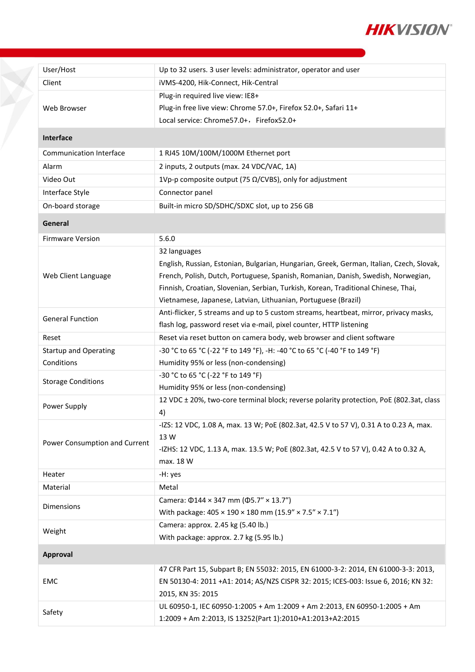

| User/Host                      | Up to 32 users. 3 user levels: administrator, operator and user                                                                  |  |  |
|--------------------------------|----------------------------------------------------------------------------------------------------------------------------------|--|--|
| Client                         | iVMS-4200, Hik-Connect, Hik-Central                                                                                              |  |  |
| Web Browser                    | Plug-in required live view: IE8+                                                                                                 |  |  |
|                                | Plug-in free live view: Chrome 57.0+, Firefox 52.0+, Safari 11+                                                                  |  |  |
|                                | Local service: Chrome57.0+, Firefox52.0+                                                                                         |  |  |
| <b>Interface</b>               |                                                                                                                                  |  |  |
| <b>Communication Interface</b> | 1 RJ45 10M/100M/1000M Ethernet port                                                                                              |  |  |
| Alarm                          | 2 inputs, 2 outputs (max. 24 VDC/VAC, 1A)                                                                                        |  |  |
| Video Out                      | 1Vp-p composite output (75 $\Omega$ /CVBS), only for adjustment                                                                  |  |  |
| Interface Style                | Connector panel                                                                                                                  |  |  |
| On-board storage               | Built-in micro SD/SDHC/SDXC slot, up to 256 GB                                                                                   |  |  |
| General                        |                                                                                                                                  |  |  |
| <b>Firmware Version</b>        | 5.6.0                                                                                                                            |  |  |
|                                | 32 languages                                                                                                                     |  |  |
|                                | English, Russian, Estonian, Bulgarian, Hungarian, Greek, German, Italian, Czech, Slovak,                                         |  |  |
| Web Client Language            | French, Polish, Dutch, Portuguese, Spanish, Romanian, Danish, Swedish, Norwegian,                                                |  |  |
|                                | Finnish, Croatian, Slovenian, Serbian, Turkish, Korean, Traditional Chinese, Thai,                                               |  |  |
|                                | Vietnamese, Japanese, Latvian, Lithuanian, Portuguese (Brazil)                                                                   |  |  |
| <b>General Function</b>        | Anti-flicker, 5 streams and up to 5 custom streams, heartbeat, mirror, privacy masks,                                            |  |  |
|                                | flash log, password reset via e-mail, pixel counter, HTTP listening                                                              |  |  |
| Reset                          | Reset via reset button on camera body, web browser and client software                                                           |  |  |
| <b>Startup and Operating</b>   | -30 °C to 65 °C (-22 °F to 149 °F), -H: -40 °C to 65 °C (-40 °F to 149 °F)                                                       |  |  |
| Conditions                     | Humidity 95% or less (non-condensing)                                                                                            |  |  |
| <b>Storage Conditions</b>      | -30 °C to 65 °C (-22 °F to 149 °F)                                                                                               |  |  |
|                                | Humidity 95% or less (non-condensing)<br>12 VDC ± 20%, two-core terminal block; reverse polarity protection, PoE (802.3at, class |  |  |
| Power Supply                   | 4)                                                                                                                               |  |  |
|                                | -IZS: 12 VDC, 1.08 A, max. 13 W; PoE (802.3at, 42.5 V to 57 V), 0.31 A to 0.23 A, max.                                           |  |  |
|                                | 13 W                                                                                                                             |  |  |
| Power Consumption and Current  | -IZHS: 12 VDC, 1.13 A, max. 13.5 W; PoE (802.3at, 42.5 V to 57 V), 0.42 A to 0.32 A,                                             |  |  |
|                                | max. 18 W                                                                                                                        |  |  |
| Heater                         | -H: yes                                                                                                                          |  |  |
| Material                       | Metal                                                                                                                            |  |  |
| <b>Dimensions</b>              | Camera: $\Phi$ 144 × 347 mm ( $\Phi$ 5.7" × 13.7")                                                                               |  |  |
|                                | With package: $405 \times 190 \times 180$ mm $(15.9'' \times 7.5'' \times 7.1'')$                                                |  |  |
| Weight                         | Camera: approx. 2.45 kg (5.40 lb.)                                                                                               |  |  |
|                                | With package: approx. 2.7 kg (5.95 lb.)                                                                                          |  |  |
| Approval                       |                                                                                                                                  |  |  |
| EMC                            | 47 CFR Part 15, Subpart B; EN 55032: 2015, EN 61000-3-2: 2014, EN 61000-3-3: 2013,                                               |  |  |
|                                | EN 50130-4: 2011 +A1: 2014; AS/NZS CISPR 32: 2015; ICES-003: Issue 6, 2016; KN 32:                                               |  |  |
|                                | 2015, KN 35: 2015                                                                                                                |  |  |
| Safety                         | UL 60950-1, IEC 60950-1:2005 + Am 1:2009 + Am 2:2013, EN 60950-1:2005 + Am                                                       |  |  |
|                                | 1:2009 + Am 2:2013, IS 13252(Part 1):2010+A1:2013+A2:2015                                                                        |  |  |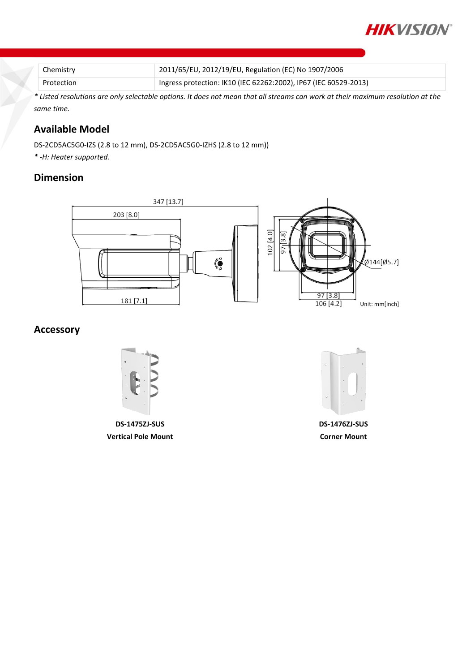

| Chemistry  | 2011/65/EU, 2012/19/EU, Regulation (EC) No 1907/2006             |
|------------|------------------------------------------------------------------|
| Protection | Ingress protection: IK10 (IEC 62262:2002), IP67 (IEC 60529-2013) |

*\* Listed resolutions are only selectable options. It does not mean that all streams can work at their maximum resolution at the same time.*

# **Available Model**

DS-2CD5AC5G0-IZS (2.8 to 12 mm), DS-2CD5AC5G0-IZHS (2.8 to 12 mm))

*\* -H: Heater supported.*

### **Dimension**



## **Accessory**



**DS-1475ZJ-SUS Vertical Pole Mount**



**DS-1476ZJ-SUS Corner Mount**